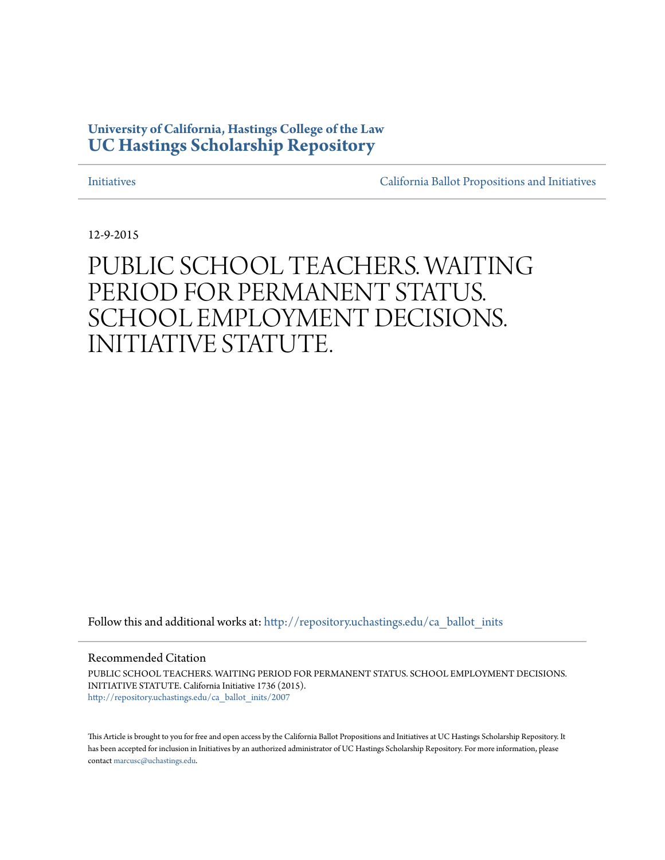# **University of California, Hastings College of the Law [UC Hastings Scholarship Repository](http://repository.uchastings.edu?utm_source=repository.uchastings.edu%2Fca_ballot_inits%2F2007&utm_medium=PDF&utm_campaign=PDFCoverPages)**

[Initiatives](http://repository.uchastings.edu/ca_ballot_inits?utm_source=repository.uchastings.edu%2Fca_ballot_inits%2F2007&utm_medium=PDF&utm_campaign=PDFCoverPages) [California Ballot Propositions and Initiatives](http://repository.uchastings.edu/ca_ballots?utm_source=repository.uchastings.edu%2Fca_ballot_inits%2F2007&utm_medium=PDF&utm_campaign=PDFCoverPages)

12-9-2015

# PUBLIC SCHOOL TEACHERS. WAITING PERIOD FOR PERMANENT STATUS. SCHOOL EMPLOYMENT DECISIONS. INITIATIVE STATUTE.

Follow this and additional works at: [http://repository.uchastings.edu/ca\\_ballot\\_inits](http://repository.uchastings.edu/ca_ballot_inits?utm_source=repository.uchastings.edu%2Fca_ballot_inits%2F2007&utm_medium=PDF&utm_campaign=PDFCoverPages)

### Recommended Citation

PUBLIC SCHOOL TEACHERS. WAITING PERIOD FOR PERMANENT STATUS. SCHOOL EMPLOYMENT DECISIONS. INITIATIVE STATUTE. California Initiative 1736 (2015). [http://repository.uchastings.edu/ca\\_ballot\\_inits/2007](http://repository.uchastings.edu/ca_ballot_inits/2007?utm_source=repository.uchastings.edu%2Fca_ballot_inits%2F2007&utm_medium=PDF&utm_campaign=PDFCoverPages)

This Article is brought to you for free and open access by the California Ballot Propositions and Initiatives at UC Hastings Scholarship Repository. It has been accepted for inclusion in Initiatives by an authorized administrator of UC Hastings Scholarship Repository. For more information, please contact [marcusc@uchastings.edu](mailto:marcusc@uchastings.edu).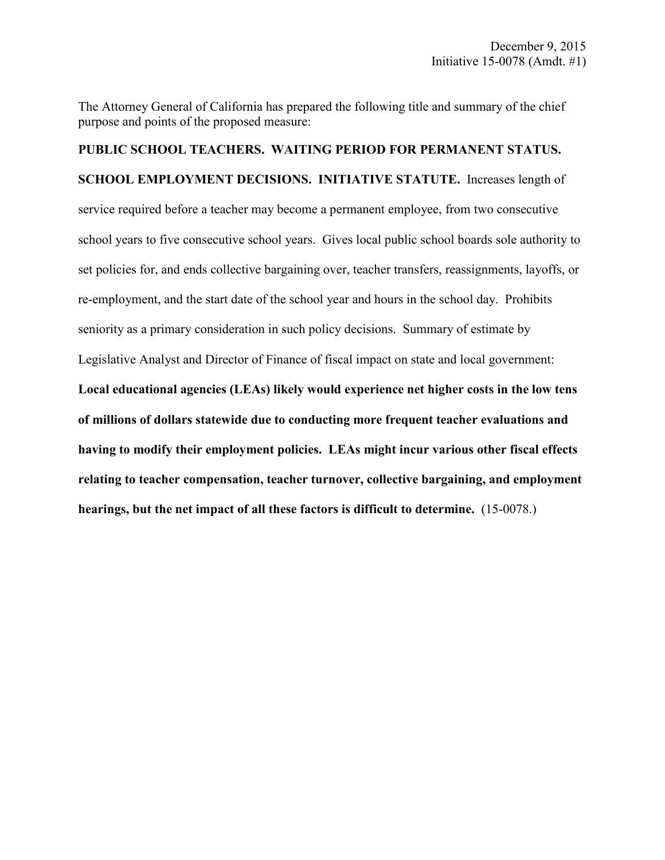The Attorney General of California has prepared the following title and summary of the chief purpose and points of the proposed measure:

**PUBLIC SCHOOL TEACHERS. WAITING PERIOD FOR PERMANENT STATUS. SCHOOL EMPLOYMENT DECISIONS. INITIATIVE STATUTE.** Increases length of service required before a teacher may become a permanent employee, from two consecutive school years to five consecutive school years. Gives local public school boards sole authority to set policies for, and ends collective bargaining over, teacher transfers, reassignments, layoffs, or re-employment, and the start date of the school year and hours in the school day. Prohibits seniority as a primary consideration in such policy decisions. Summary of estimate by Legislative Analyst and Director of Finance of fiscal impact on state and local government: **Local educational agencies (LEAs) likely would experience net higher costs in the low tens of millions of dollars statewide due to conducting more frequent teacher evaluations and having to modify their employment policies. LEAs might incur various other fiscal effects relating to teacher compensation, teacher turnover, collective bargaining, and employment** 

**hearings, but the net impact of all these factors is difficult to determine.** (15-0078.)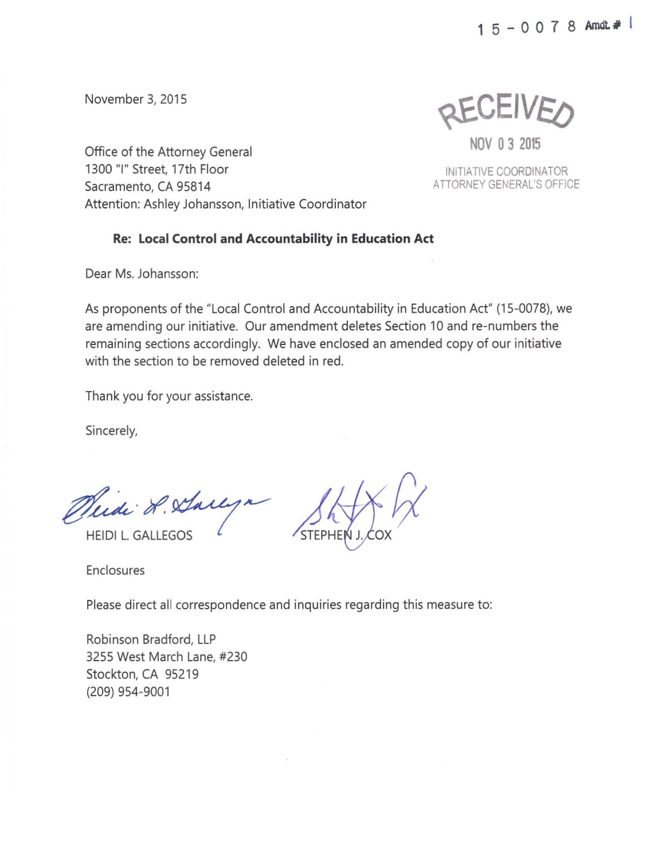November 3, 2015

REULIVEO

**NOV 0 3 2015** 

INITIATIVE COORDINATOR ATTORNEY GENERAL'S OFFICE

Office of the Attorney General 1300 "I" Street, 17th Floor Sacramento, CA 95814 Attention: Ashley Johansson, Initiative Coordinator

## **Re: Local Control and Accountability in Education Act**

Dear Ms. Johansson:

As proponents of the "Local Control and Accountability in Education Act" (15-0078), we are amending our initiative. Our amendment deletes Section 10 and re-numbers the remaining sections accordingly. We have enclosed an amended copy of our initiative with the section to be removed deleted in red.

Thank you for your assistance.

Sincerely,

Medi L. Sarlyn

HEIDI L. GALLEGOS (STEPHE

Enclosures

Please direct all correspondence and inquiries regarding this measure to:

Robinson Bradford, LLP 3255 West March Lane, #230 Stockton, CA 95219 (209) 954-9001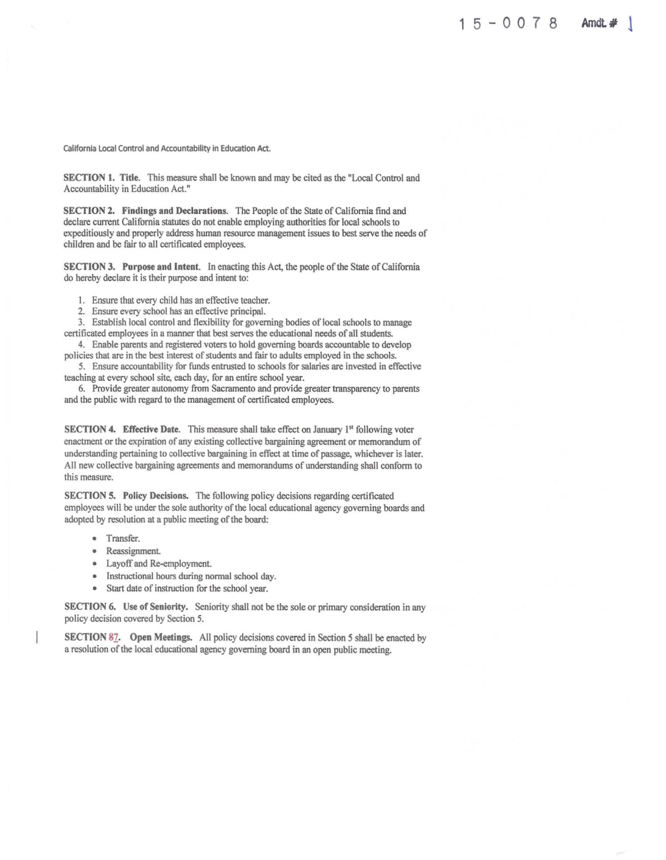California Local Control and Accountability in Education Act.

SECTION 1. Title. This measure shall be known and may be cited as the "Local Control and Accountability in Education Act."

SECTION 2. Findings and Declarations. The People of the State of California find and declare current California statutes do not enable employing authorities for local schools to expeditiously and properly address human resource management issues to best serve the needs of children and be fair to all certificated employees.

SECTION 3. Purpose and Intent. In enacting this Act, the people of the State of California do hereby declare it is their purpose and intent to:

I. Ensure that every child has an effective teacher.

2. Ensure every school has an effective principal.

3. Establish local control and flexibility for governing bodies of local schools to manage certificated employees in a manner that best serves the educational needs of all students.

4. Enable parents and registered voters to hold governing boards accountable to develop policies that are in the best interest of students and fair to adults employed in the schools.

5. Ensure accountability for funds entrusted to schools for salaries are invested in effective teaching at every school site, each day, for an entire school year.

6. Provide greater autonomy from Sacramento and provide greater transparency to parents and the public with regard to the management of certificated employees.

SECTION 4. Effective Date. This measure shall take effect on January 1<sup>st</sup> following voter enactment or the expiration of any existing collective bargaining agreement or memorandum of understanding pertaining to collective bargaining in effect at time of passage, whichever is later. All new collective bargaining agreements and memorandums of understanding shall conform to this measure.

SECTION 5. Policy Decisions. The following policy decisions regarding certificated employees will be under the sole authority of the local educational agency governing boards and adopted by resolution at a public meeting of the board:

- Transfer.
- Reassignment
- Layoff and Re-employment
- Instructional hours during normal school day.
- Start date of instruction for the school year.

SECTION 6. Use of Seniority. Seniority shall not be the sole or primary consideration in any policy decision covered by Section 5.

SECTION *81.* Open Meetings. All policy decisions covered in Section *5* shall be enacted by a resolution of the local educational agency governing board in an open public meeting.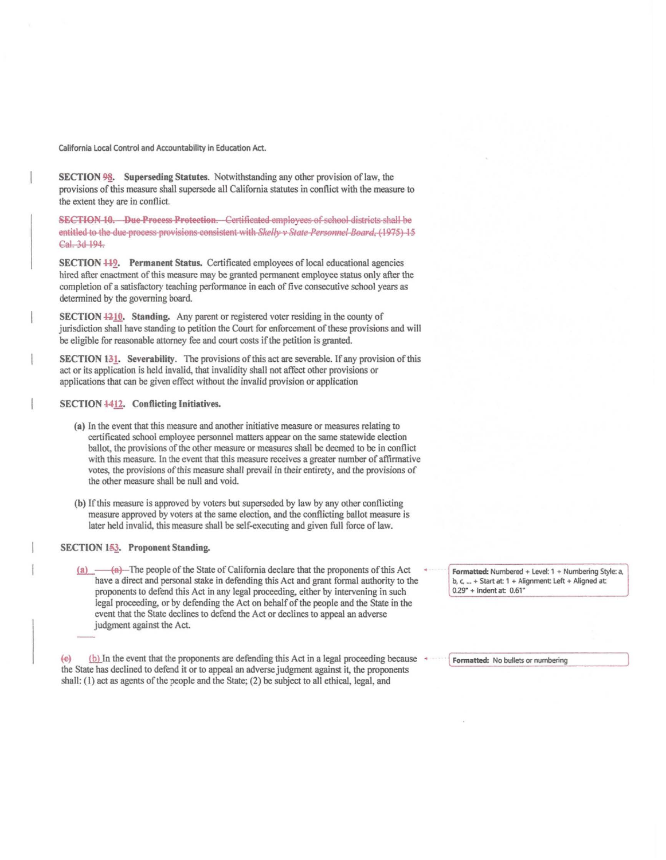California Local Control and Accountability in Education Act.

SECTION 98. Superseding Statutes. Notwithstanding any other provision of law, the provisions of this measure shall supersede all California statutes in conflict with the measure to the extent they are in conflict.

**SECTION 10. Due Process Protection.** Certificated employees of school districts shall be entitled to the due process provisions consistent with *Skelly v State Personnel Board*, (1975) 15 Cal. 3d 194.

SECTION 449. Permanent Status. Certificated employees of local educational agencies hired after enactment of this measure may be granted permanent employee status only after the completion of a satisfactory teaching performance in each of five consecutive school years as determined by the governing board.

SECTION 4210. Standing. Any parent or registered voter residing in the county of jurisdiction shall have standing to petition the Court for enforcement of these provisions and will be eligible for reasonable attorney fee and court costs if the petition is granted.

**SECTION 131.** Severability. The provisions of this act are severable. If any provision of this act or its application is held invalid, that invalidity shall not affect other provisions or applications that can be given effect without the invalid provision or application

#### SECTION 4412. Conflicting Initiatives.

- (a) In the event that this measure and another initiative measure or measures relating to certificated school employee personnel matters appear on the same statewide election ballot, the provisions of the other measure or measures shall be deemed to be in conflict with this measure. In the event that this measure receives a greater number of affirmative votes, the provisions of this measure shall prevail in their entirety, and the provisions of the other measure shall be null and void.
- (b) If this measure is approved by voters but superseded by law by any other conflicting measure approved by voters at the same election, and the conflicting ballot measure is later held invalid, this measure shall be self-executing and given full force of law.

#### **SECTION 153. Proponent Standing.**

(a)  $-\theta$  The people of the State of California declare that the proponents of this Act have a direct and personal stake in defending this Act and grant formal authority to the proponents to defend this Act in any legal proceeding, either by intervening in such legal proceeding, or by defending the Act on behalf of the people and the State in the event that the State declines to defend the Act or declines to appeal an adverse judgment against the Act.

(b) In the event that the proponents are defending this Act in a legal proceeding because  $\left( e\right)$ the State has declined to defend it or to appeal an adverse judgment against it, the proponents shall; (1) act as agents of the people and the State; (2) be subject to all ethical, legal, and

Formatted: Numbered + Level: 1 + Numbering Style: a, b, c, ... + Start at: 1 + Alignment: Left + Aligned at:  $0.29" + Indent at: 0.61"$ 

Formatted: No bullets or numbering